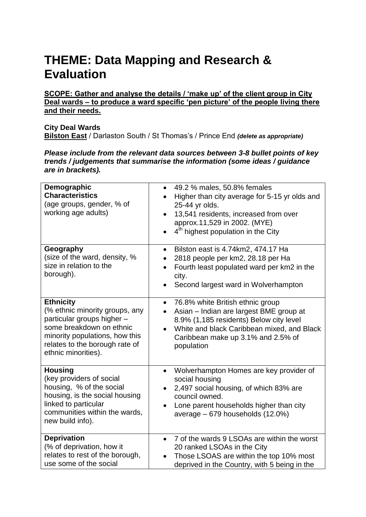## **THEME: Data Mapping and Research & Evaluation**

**SCOPE: Gather and analyse the details / 'make up' of the client group in City Deal wards – to produce a ward specific 'pen picture' of the people living there and their needs.** 

## **City Deal Wards Bilston East** / Darlaston South / St Thomas's / Prince End *(delete as appropriate)*

*Please include from the relevant data sources between 3-8 bullet points of key trends / judgements that summarise the information (some ideas / guidance are in brackets).*

| Demographic<br><b>Characteristics</b><br>(age groups, gender, % of<br>working age adults)                                                                                                               | 49.2 % males, 50.8% females<br>$\bullet$<br>Higher than city average for 5-15 yr olds and<br>$\bullet$<br>25-44 yr olds.<br>13,541 residents, increased from over<br>$\bullet$<br>approx.11,529 in 2002. (MYE)<br>4 <sup>th</sup> highest population in the City<br>$\bullet$ |
|---------------------------------------------------------------------------------------------------------------------------------------------------------------------------------------------------------|-------------------------------------------------------------------------------------------------------------------------------------------------------------------------------------------------------------------------------------------------------------------------------|
| Geography<br>(size of the ward, density, %<br>size in relation to the<br>borough).                                                                                                                      | Bilston east is 4.74km2, 474.17 Ha<br>$\bullet$<br>2818 people per km2, 28.18 per Ha<br>$\bullet$<br>Fourth least populated ward per km2 in the<br>$\bullet$<br>city.<br>Second largest ward in Wolverhampton                                                                 |
| <b>Ethnicity</b><br>(% ethnic minority groups, any<br>particular groups higher -<br>some breakdown on ethnic<br>minority populations, how this<br>relates to the borough rate of<br>ethnic minorities). | 76.8% white British ethnic group<br>$\bullet$<br>Asian - Indian are largest BME group at<br>$\bullet$<br>8.9% (1,185 residents) Below city level<br>White and black Caribbean mixed, and Black<br>$\bullet$<br>Caribbean make up 3.1% and 2.5% of<br>population               |
| <b>Housing</b><br>(key providers of social<br>housing, % of the social<br>housing, is the social housing<br>linked to particular<br>communities within the wards.<br>new build info).                   | Wolverhampton Homes are key provider of<br>$\bullet$<br>social housing<br>2,497 social housing, of which 83% are<br>council owned.<br>Lone parent households higher than city<br>average $-679$ households $(12.0%)$                                                          |
| <b>Deprivation</b><br>(% of deprivation, how it<br>relates to rest of the borough,<br>use some of the social                                                                                            | 7 of the wards 9 LSOAs are within the worst<br>$\bullet$<br>20 ranked LSOAs in the City<br>Those LSOAS are within the top 10% most<br>deprived in the Country, with 5 being in the                                                                                            |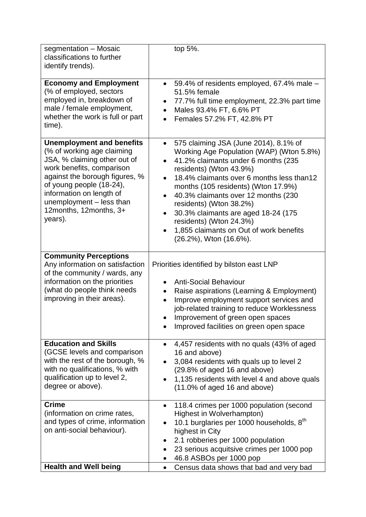| segmentation - Mosaic<br>classifications to further<br>identify trends).                                                                                                                                                                                                               | top 5%.                                                                                                                                                                                                                                                                                                                                                                                                                                                                                                           |
|----------------------------------------------------------------------------------------------------------------------------------------------------------------------------------------------------------------------------------------------------------------------------------------|-------------------------------------------------------------------------------------------------------------------------------------------------------------------------------------------------------------------------------------------------------------------------------------------------------------------------------------------------------------------------------------------------------------------------------------------------------------------------------------------------------------------|
| <b>Economy and Employment</b><br>(% of employed, sectors<br>employed in, breakdown of<br>male / female employment,<br>whether the work is full or part<br>time).                                                                                                                       | 59.4% of residents employed, 67.4% male -<br>$\bullet$<br>51.5% female<br>77.7% full time employment, 22.3% part time<br>$\bullet$<br>Males 93.4% FT, 6.6% PT<br>$\bullet$<br>Females 57.2% FT, 42.8% PT<br>$\bullet$                                                                                                                                                                                                                                                                                             |
| <b>Unemployment and benefits</b><br>(% of working age claiming<br>JSA, % claiming other out of<br>work benefits, comparison<br>against the borough figures, %<br>of young people (18-24),<br>information on length of<br>unemployment - less than<br>12months, 12months, 3+<br>years). | 575 claiming JSA (June 2014), 8.1% of<br>$\bullet$<br>Working Age Population (WAP) (Wton 5.8%)<br>41.2% claimants under 6 months (235<br>$\bullet$<br>residents) (Wton 43.9%)<br>18.4% claimants over 6 months less than12<br>$\bullet$<br>months (105 residents) (Wton 17.9%)<br>40.3% claimants over 12 months (230<br>$\bullet$<br>residents) (Wton 38.2%)<br>30.3% claimants are aged 18-24 (175<br>$\bullet$<br>residents) (Wton 24.3%)<br>1,855 claimants on Out of work benefits<br>(26.2%), Wton (16.6%). |
| <b>Community Perceptions</b><br>Any information on satisfaction<br>of the community / wards, any<br>information on the priorities<br>(what do people think needs<br>improving in their areas).                                                                                         | Priorities identified by bilston east LNP<br><b>Anti-Social Behaviour</b><br>Raise aspirations (Learning & Employment)<br>Improve employment support services and<br>$\bullet$<br>job-related training to reduce Worklessness<br>Improvement of green open spaces<br>$\bullet$<br>Improved facilities on green open space                                                                                                                                                                                         |
| <b>Education and Skills</b><br>(GCSE levels and comparison<br>with the rest of the borough, %<br>with no qualifications, % with<br>qualification up to level 2,<br>degree or above).                                                                                                   | 4,457 residents with no quals (43% of aged<br>$\bullet$<br>16 and above)<br>3,084 residents with quals up to level 2<br>$\bullet$<br>(29.8% of aged 16 and above)<br>1,135 residents with level 4 and above quals<br>$\bullet$<br>$(11.0\% \text{ of aged } 16 \text{ and above})$                                                                                                                                                                                                                                |
| <b>Crime</b><br>(information on crime rates,<br>and types of crime, information<br>on anti-social behaviour).                                                                                                                                                                          | 118.4 crimes per 1000 population (second<br>٠<br>Highest in Wolverhampton)<br>10.1 burglaries per 1000 households, 8 <sup>th</sup><br>$\bullet$<br>highest in City<br>2.1 robberies per 1000 population<br>23 serious acquitsive crimes per 1000 pop<br>$\bullet$<br>46.8 ASBOs per 1000 pop                                                                                                                                                                                                                      |
| <b>Health and Well being</b>                                                                                                                                                                                                                                                           | Census data shows that bad and very bad<br>$\bullet$                                                                                                                                                                                                                                                                                                                                                                                                                                                              |